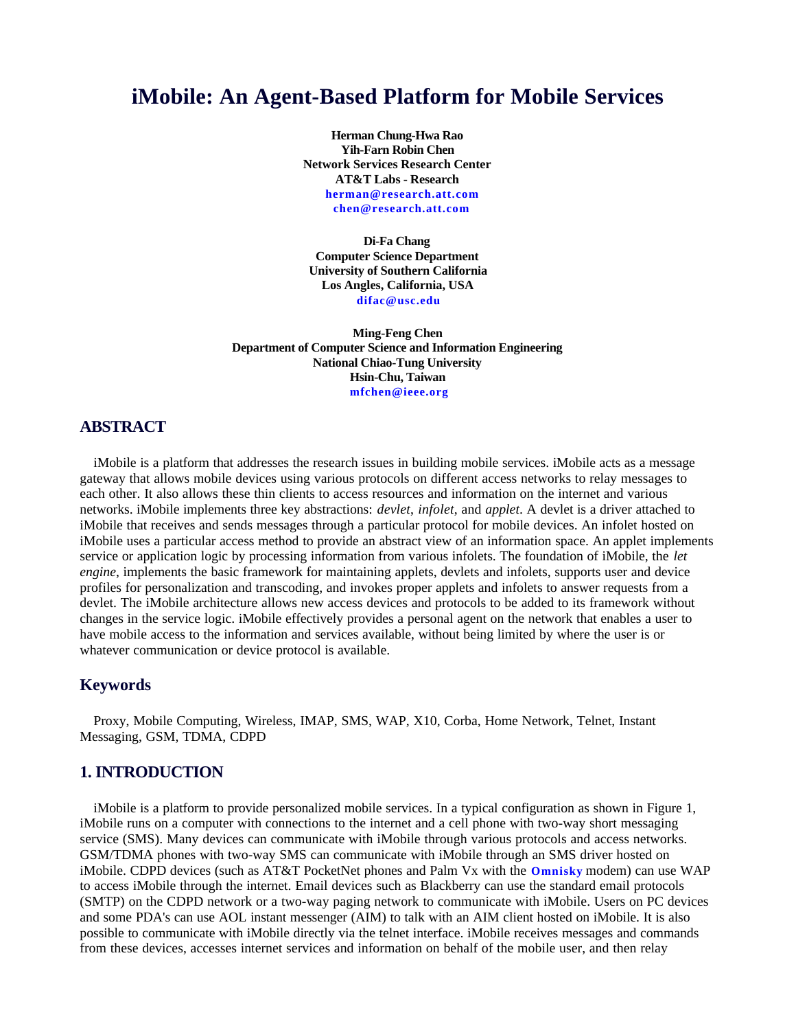# **iMobile: An Agent-Based Platform for Mobile Services**

**Herman Chung-Hwa Rao Yih-Farn Robin Chen Network Services Research Center AT&T Labs - Research herman@research.att.com chen@research.att.com**

**Di-Fa Chang Computer Science Department University of Southern California Los Angles, California, USA difac@usc.edu**

**Ming-Feng Chen Department of Computer Science and Information Engineering National Chiao-Tung University Hsin-Chu, Taiwan mfchen@ieee.org**

### **ABSTRACT**

iMobile is a platform that addresses the research issues in building mobile services. iMobile acts as a message gateway that allows mobile devices using various protocols on different access networks to relay messages to each other. It also allows these thin clients to access resources and information on the internet and various networks. iMobile implements three key abstractions: *devlet*, *infolet*, and *applet*. A devlet is a driver attached to iMobile that receives and sends messages through a particular protocol for mobile devices. An infolet hosted on iMobile uses a particular access method to provide an abstract view of an information space. An applet implements service or application logic by processing information from various infolets. The foundation of iMobile, the *let engine*, implements the basic framework for maintaining applets, devlets and infolets, supports user and device profiles for personalization and transcoding, and invokes proper applets and infolets to answer requests from a devlet. The iMobile architecture allows new access devices and protocols to be added to its framework without changes in the service logic. iMobile effectively provides a personal agent on the network that enables a user to have mobile access to the information and services available, without being limited by where the user is or whatever communication or device protocol is available.

#### **Keywords**

Proxy, Mobile Computing, Wireless, IMAP, SMS, WAP, X10, Corba, Home Network, Telnet, Instant Messaging, GSM, TDMA, CDPD

## **1. INTRODUCTION**

iMobile is a platform to provide personalized mobile services. In a typical configuration as shown in Figure 1, iMobile runs on a computer with connections to the internet and a cell phone with two-way short messaging service (SMS). Many devices can communicate with iMobile through various protocols and access networks. GSM/TDMA phones with two-way SMS can communicate with iMobile through an SMS driver hosted on iMobile. CDPD devices (such as AT&T PocketNet phones and Palm Vx with the **Omnisky** modem) can use WAP to access iMobile through the internet. Email devices such as Blackberry can use the standard email protocols (SMTP) on the CDPD network or a two-way paging network to communicate with iMobile. Users on PC devices and some PDA's can use AOL instant messenger (AIM) to talk with an AIM client hosted on iMobile. It is also possible to communicate with iMobile directly via the telnet interface. iMobile receives messages and commands from these devices, accesses internet services and information on behalf of the mobile user, and then relay